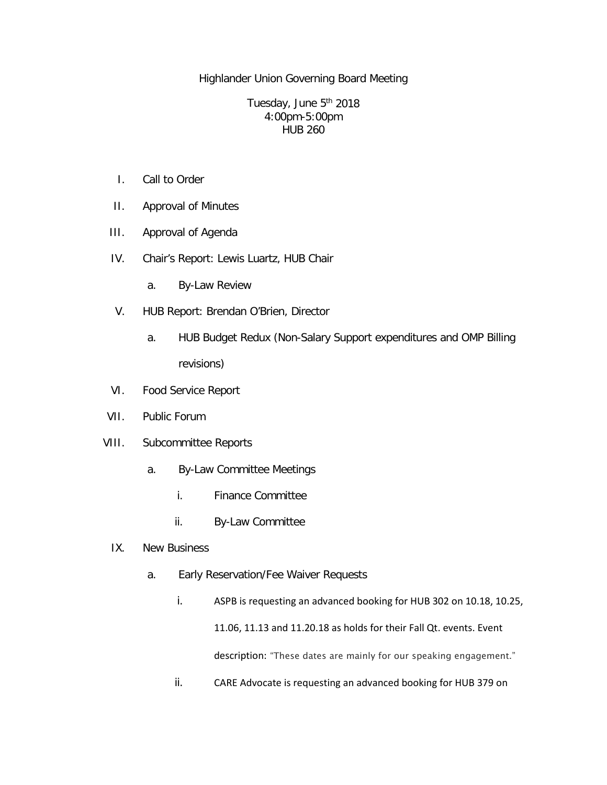Highlander Union Governing Board Meeting

Tuesday, June 5<sup>th</sup> 2018 4:00pm-5:00pm HUB 260

- I. Call to Order
- II. Approval of Minutes
- III. Approval of Agenda
- IV. Chair's Report: Lewis Luartz, HUB Chair
	- a. By-Law Review
- V. HUB Report: Brendan O'Brien, Director
	- a. HUB Budget Redux (Non-Salary Support expenditures and OMP Billing revisions)
- VI. Food Service Report
- VII. Public Forum
- VIII. Subcommittee Reports
	- a. By-Law Committee Meetings
		- i. Finance Committee
		- ii. By-Law Committee
	- IX. New Business
		- a. Early Reservation/Fee Waiver Requests
			- i. ASPB is requesting an advanced booking for HUB 302 on 10.18, 10.25, 11.06, 11.13 and 11.20.18 as holds for their Fall Qt. events. Event description: "These dates are mainly for our speaking engagement."
			- ii. CARE Advocate is requesting an advanced booking for HUB 379 on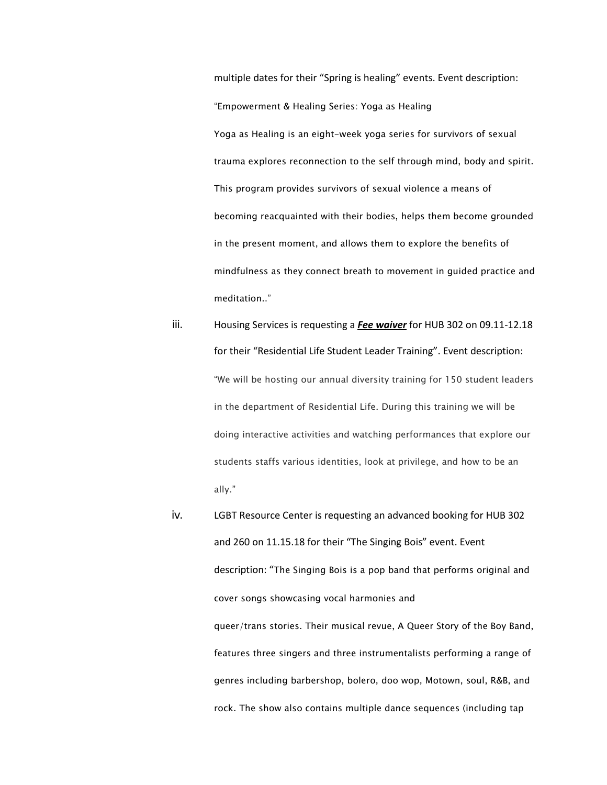multiple dates for their "Spring is healing" events. Event description: "Empowerment & Healing Series: Yoga as Healing Yoga as Healing is an eight-week yoga series for survivors of sexual trauma explores reconnection to the self through mind, body and spirit. This program provides survivors of sexual violence a means of becoming reacquainted with their bodies, helps them become grounded in the present moment, and allows them to explore the benefits of mindfulness as they connect breath to movement in guided practice and meditation.."

- iii. Housing Services is requesting a *Fee waiver* for HUB 302 on 09.11-12.18 for their "Residential Life Student Leader Training". Event description: "We will be hosting our annual diversity training for 150 student leaders in the department of Residential Life. During this training we will be doing interactive activities and watching performances that explore our students staffs various identities, look at privilege, and how to be an ally."
- iv. LGBT Resource Center is requesting an advanced booking for HUB 302 and 260 on 11.15.18 for their "The Singing Bois" event. Event description: "The Singing Bois is a pop band that performs original and cover songs showcasing vocal harmonies and queer/trans stories. Their musical revue, A Queer Story of the Boy Band, features three singers and three instrumentalists performing a range of genres including barbershop, bolero, doo wop, Motown, soul, R&B, and rock. The show also contains multiple dance sequences (including tap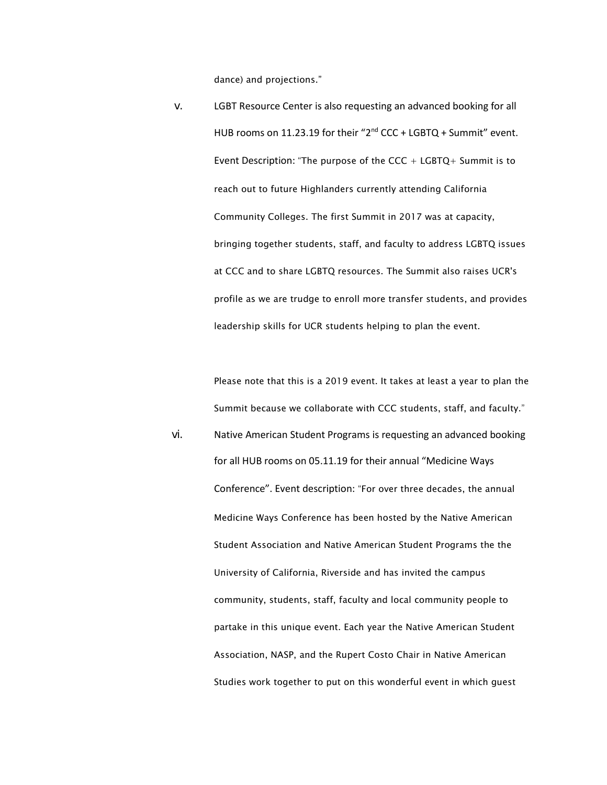dance) and projections."

v. LGBT Resource Center is also requesting an advanced booking for all HUB rooms on 11.23.19 for their "2<sup>nd</sup> CCC + LGBTQ + Summit" event. Event Description: "The purpose of the  $CCC + LGBTO + Summit$  is to reach out to future Highlanders currently attending California Community Colleges. The first Summit in 2017 was at capacity, bringing together students, staff, and faculty to address LGBTQ issues at CCC and to share LGBTQ resources. The Summit also raises UCR's profile as we are trudge to enroll more transfer students, and provides leadership skills for UCR students helping to plan the event.

Please note that this is a 2019 event. It takes at least a year to plan the Summit because we collaborate with CCC students, staff, and faculty." vi. Native American Student Programs is requesting an advanced booking for all HUB rooms on 05.11.19 for their annual "Medicine Ways Conference". Event description: "For over three decades, the annual Medicine Ways Conference has been hosted by the Native American Student Association and Native American Student Programs the the University of California, Riverside and has invited the campus community, students, staff, faculty and local community people to partake in this unique event. Each year the Native American Student Association, NASP, and the Rupert Costo Chair in Native American Studies work together to put on this wonderful event in which guest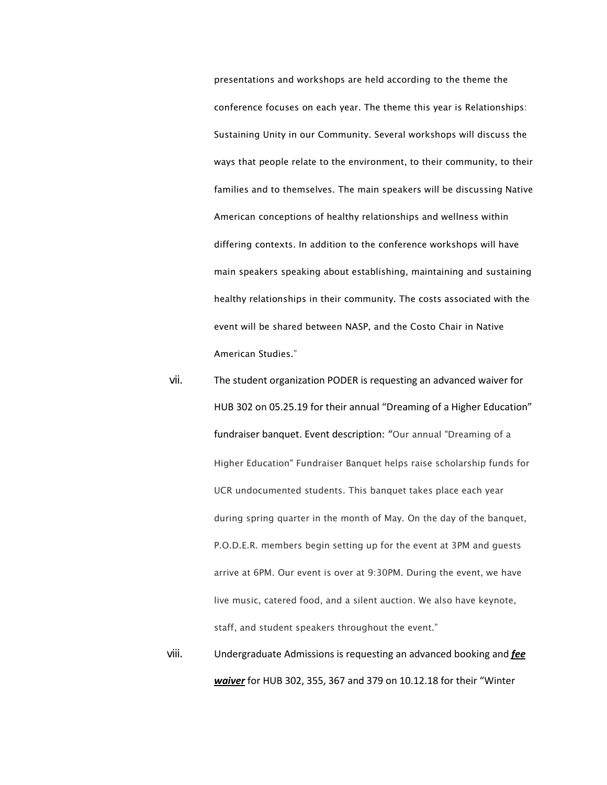presentations and workshops are held according to the theme the conference focuses on each year. The theme this year is Relationships: Sustaining Unity in our Community. Several workshops will discuss the ways that people relate to the environment, to their community, to their families and to themselves. The main speakers will be discussing Native American conceptions of healthy relationships and wellness within differing contexts. In addition to the conference workshops will have main speakers speaking about establishing, maintaining and sustaining healthy relationships in their community. The costs associated with the event will be shared between NASP, and the Costo Chair in Native American Studies."

- vii. The student organization PODER is requesting an advanced waiver for HUB 302 on 05.25.19 for their annual "Dreaming of a Higher Education" fundraiser banquet. Event description: "Our annual "Dreaming of a Higher Education" Fundraiser Banquet helps raise scholarship funds for UCR undocumented students. This banquet takes place each year during spring quarter in the month of May. On the day of the banquet, P.O.D.E.R. members begin setting up for the event at 3PM and guests arrive at 6PM. Our event is over at 9:30PM. During the event, we have live music, catered food, and a silent auction. We also have keynote, staff, and student speakers throughout the event."
- viii. Undergraduate Admissions is requesting an advanced booking and *fee waiver* for HUB 302, 355, 367 and 379 on 10.12.18 for their "Winter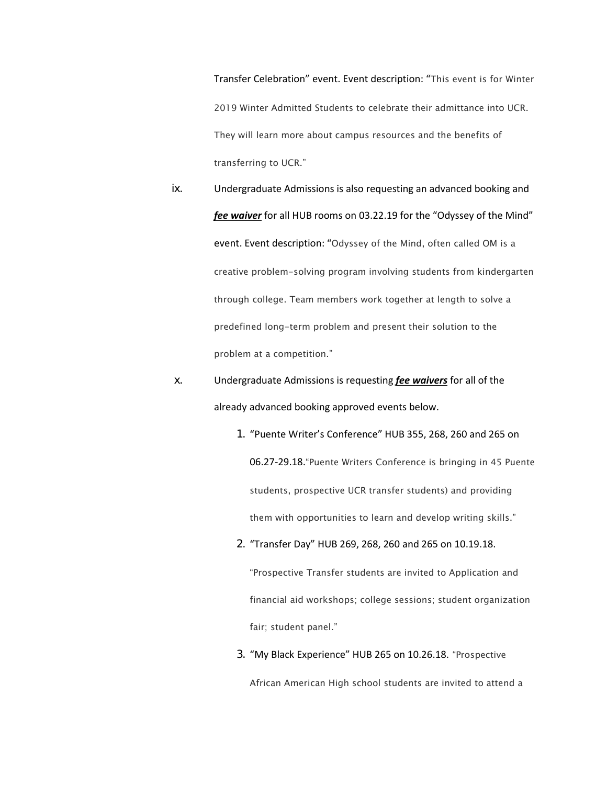Transfer Celebration" event. Event description: "This event is for Winter 2019 Winter Admitted Students to celebrate their admittance into UCR. They will learn more about campus resources and the benefits of transferring to UCR."

ix. Undergraduate Admissions is also requesting an advanced booking and *fee waiver* for all HUB rooms on 03.22.19 for the "Odyssey of the Mind" event. Event description: "Odyssey of the Mind, often called OM is a creative problem-solving program involving students from kindergarten through college. Team members work together at length to solve a predefined long-term problem and present their solution to the problem at a competition."

## x. Undergraduate Admissions is requesting *fee waivers* for all of the already advanced booking approved events below.

- 1. "Puente Writer's Conference" HUB 355, 268, 260 and 265 on 06.27-29.18."Puente Writers Conference is bringing in 45 Puente students, prospective UCR transfer students) and providing them with opportunities to learn and develop writing skills."
- 2. "Transfer Day" HUB 269, 268, 260 and 265 on 10.19.18.

"Prospective Transfer students are invited to Application and financial aid workshops; college sessions; student organization fair; student panel."

3. "My Black Experience" HUB 265 on 10.26.18. "Prospective African American High school students are invited to attend a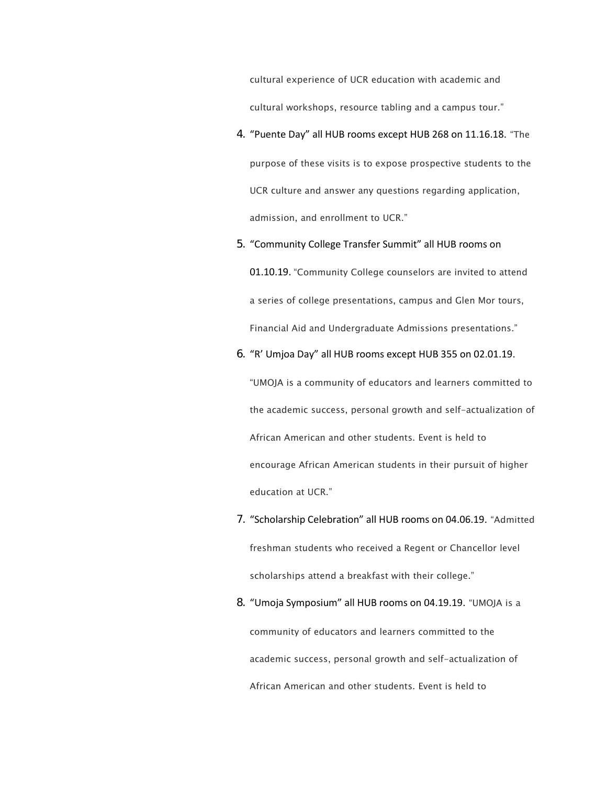cultural experience of UCR education with academic and cultural workshops, resource tabling and a campus tour."

- 4. "Puente Day" all HUB rooms except HUB 268 on 11.16.18. "The purpose of these visits is to expose prospective students to the UCR culture and answer any questions regarding application, admission, and enrollment to UCR."
- 5. "Community College Transfer Summit" all HUB rooms on 01.10.19. "Community College counselors are invited to attend a series of college presentations, campus and Glen Mor tours, Financial Aid and Undergraduate Admissions presentations."
- 6. "R' Umjoa Day" all HUB rooms except HUB 355 on 02.01.19.

"UMOJA is a community of educators and learners committed to the academic success, personal growth and self-actualization of African American and other students. Event is held to encourage African American students in their pursuit of higher education at UCR."

- 7. "Scholarship Celebration" all HUB rooms on 04.06.19. "Admitted freshman students who received a Regent or Chancellor level scholarships attend a breakfast with their college."
- 8. "Umoja Symposium" all HUB rooms on 04.19.19. "UMOJA is a community of educators and learners committed to the academic success, personal growth and self-actualization of African American and other students. Event is held to